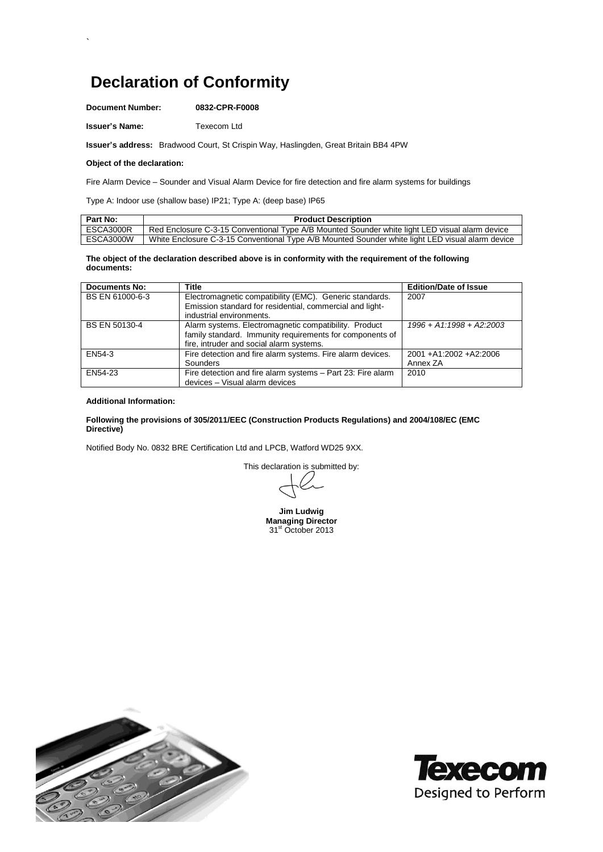# **Declaration of Conformity**

**Document Number: 0832-CPR-F0008**

**Issuer's Name:** Texecom Ltd

**Issuer's address:** Bradwood Court, St Crispin Way, Haslingden, Great Britain BB4 4PW

## **Object of the declaration:**

`

Fire Alarm Device – Sounder and Visual Alarm Device for fire detection and fire alarm systems for buildings

Type A: Indoor use (shallow base) IP21; Type A: (deep base) IP65

| Part No:  | <b>Product Description</b>                                                                       |
|-----------|--------------------------------------------------------------------------------------------------|
| ESCA3000R | Red Enclosure C-3-15 Conventional Type A/B Mounted Sounder white light LED visual alarm device   |
| ESCA3000W | White Enclosure C-3-15 Conventional Type A/B Mounted Sounder white light LED visual alarm device |

#### **The object of the declaration described above is in conformity with the requirement of the following documents:**

| <b>Documents No:</b> | <b>Title</b>                                                | <b>Edition/Date of Issue</b> |
|----------------------|-------------------------------------------------------------|------------------------------|
| BS EN 61000-6-3      | Electromagnetic compatibility (EMC). Generic standards.     | 2007                         |
|                      | Emission standard for residential, commercial and light-    |                              |
|                      | industrial environments.                                    |                              |
| <b>BS EN 50130-4</b> | Alarm systems. Electromagnetic compatibility. Product       | $1996 + A1.1998 + A2.2003$   |
|                      | family standard. Immunity requirements for components of    |                              |
|                      | fire, intruder and social alarm systems.                    |                              |
| EN54-3               | Fire detection and fire alarm systems. Fire alarm devices.  | 2001 + A1:2002 + A2:2006     |
|                      | Sounders                                                    | Annex ZA                     |
| EN54-23              | Fire detection and fire alarm systems - Part 23: Fire alarm | 2010                         |
|                      | devices - Visual alarm devices                              |                              |

### **Additional Information:**

### **Following the provisions of 305/2011/EEC (Construction Products Regulations) and 2004/108/EC (EMC Directive)**

Notified Body No. 0832 BRE Certification Ltd and LPCB, Watford WD25 9XX.

This declaration is submitted by:

**Jim Ludwig Managing Director** 31<sup>st</sup> October 2013